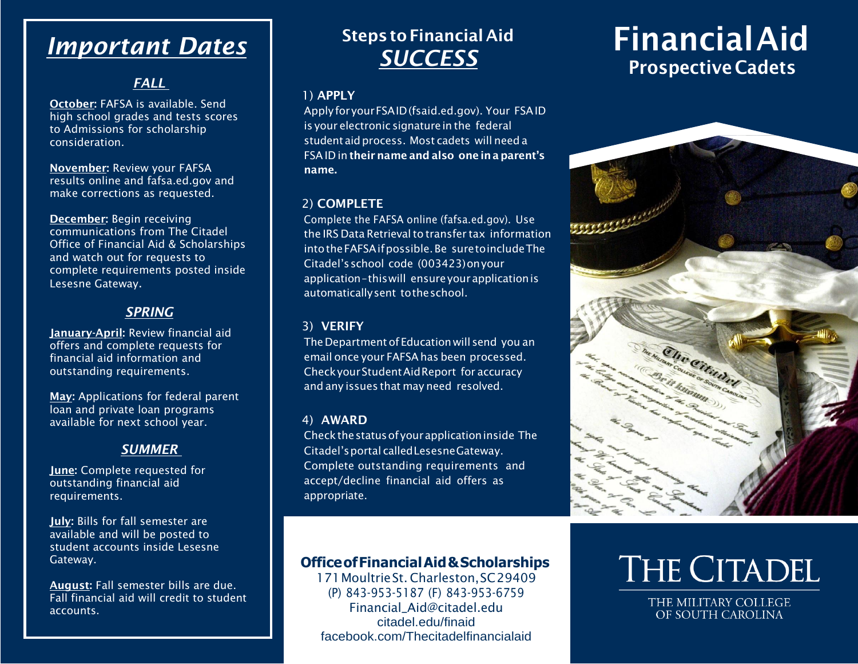## *Important Dates*

#### *FALL*

October: FAFSA is available. Send high school grades and tests scores to Admissions for scholarship consideration.

November: Review your FAFSA results online and fafsa.ed.gov and make corrections as requested.

December: Begin receiving communications from The Citadel Office of Financial Aid & Scholarships and watch out for requests to complete requirements posted inside Lesesne Gateway.

#### *SPRING*

January-April: Review financial aid offers and complete requests for financial aid information and outstanding requirements.

May: Applications for federal parent loan and private loan programs available for next school year.

#### *SUMMER*

June: Complete requested for outstanding financial aid requirements.

July: Bills for fall semester are available and will be posted to student accounts inside Lesesne Gateway.

August: Fall semester bills are due. Fall financial aid will credit to student accounts.

### **Steps to Financial Aid** *SUCCESS*

#### 1) APPLY

ApplyforyourFSAID(fsaid.ed.gov). Your FSAID is your electronic signature in the federal student aid process. Most cadets will need a FSAID in their name and also one in a parent's name.

#### 2) COMPLETE

Complete the FAFSA online (fafsa.ed.gov). Use the IRS Data Retrieval to transfer tax information intotheFAFSAifpossible.Be suretoincludeThe Citadel'sschool code (003423)onyour application–thiswill ensureyourapplicationis automaticallysent totheschool.

#### 3) VERIFY

The Department of Education will send you an email once your FAFSAhas been processed. CheckyourStudentAidReport for accuracy and any issues that may need resolved.

#### 4) AWARD

Checkthestatusofyourapplicationinside The Citadel'sportal calledLesesneGateway. Complete outstanding requirements and accept/decline financial aid offers as appropriate.

### **OfficeofFinancialAid&Scholarships**

171MoultrieSt. Charleston,SC29409 (P) 843-953-5187 (F) 843-953-6759 [Financial\\_Aid@citadel.edu](mailto:Financial_Aid@citadel.edu) citadel.edu/finaid facebook.com/Thecitadelfinancialaid

# FinancialAid Prospective Cadets



# THE CITADEL

THE MILITARY COLLEGE OF SOUTH CAROLINA